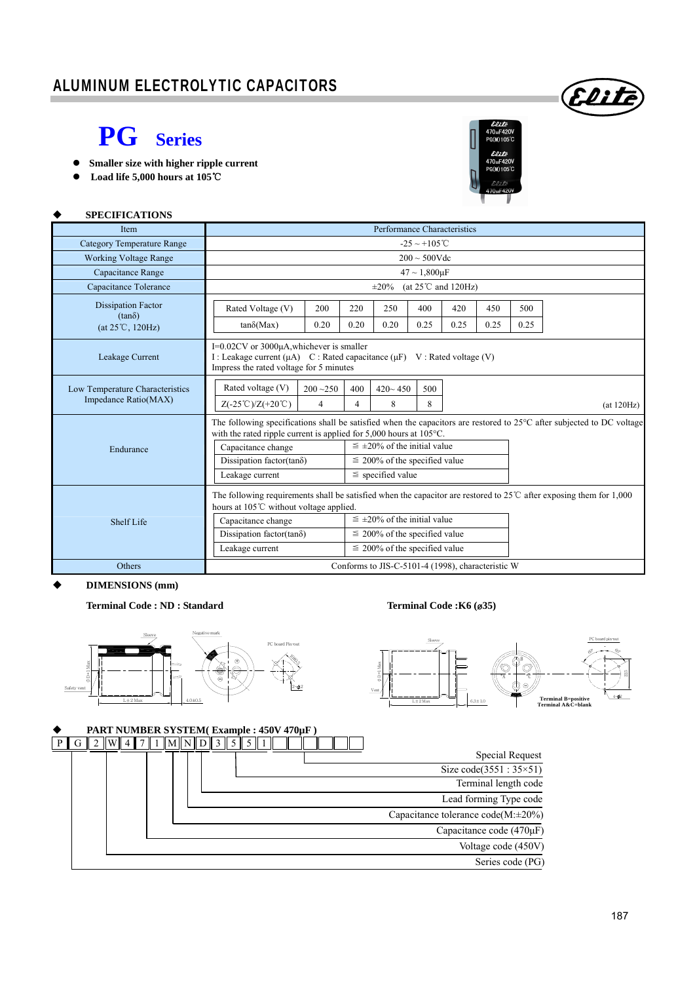## **PG Series**

- **Smaller size with higher ripple current**
- **Load life 5,000 hours at 105**℃



Elit

| <b>SPECIFICATIONS</b>                                   |                                                                                                                                                                                                                                                                                                                                                                                                         |                               |          |                  |          |      |      |            |  |  |  |  |  |
|---------------------------------------------------------|---------------------------------------------------------------------------------------------------------------------------------------------------------------------------------------------------------------------------------------------------------------------------------------------------------------------------------------------------------------------------------------------------------|-------------------------------|----------|------------------|----------|------|------|------------|--|--|--|--|--|
| <b>Item</b>                                             | Performance Characteristics                                                                                                                                                                                                                                                                                                                                                                             |                               |          |                  |          |      |      |            |  |  |  |  |  |
| Category Temperature Range                              | $-25 \sim +105^{\circ}$ C                                                                                                                                                                                                                                                                                                                                                                               |                               |          |                  |          |      |      |            |  |  |  |  |  |
| <b>Working Voltage Range</b>                            | $200 \sim 500V$ de                                                                                                                                                                                                                                                                                                                                                                                      |                               |          |                  |          |      |      |            |  |  |  |  |  |
| Capacitance Range                                       | $47 \sim 1,800 \,\text{uF}$                                                                                                                                                                                                                                                                                                                                                                             |                               |          |                  |          |      |      |            |  |  |  |  |  |
| Capacitance Tolerance                                   | $\pm 20\%$<br>(at $25^{\circ}$ C and $120\text{Hz}$ )                                                                                                                                                                                                                                                                                                                                                   |                               |          |                  |          |      |      |            |  |  |  |  |  |
| <b>Dissipation Factor</b>                               | Rated Voltage (V)                                                                                                                                                                                                                                                                                                                                                                                       | 200                           | 220      | 250              | 400      | 420  | 450  | 500        |  |  |  |  |  |
| $(tan\delta)$<br>(at 25°C, 120Hz)                       | $tan\delta(Max)$                                                                                                                                                                                                                                                                                                                                                                                        | 0.20                          | 0.20     | 0.20             | 0.25     | 0.25 | 0.25 | 0.25       |  |  |  |  |  |
| Leakage Current                                         | I=0.02CV or 3000µA, whichever is smaller<br>I: Leakage current $(\mu A)$ C: Rated capacitance $(\mu F)$ V: Rated voltage (V)<br>Impress the rated voltage for 5 minutes                                                                                                                                                                                                                                 |                               |          |                  |          |      |      |            |  |  |  |  |  |
| Low Temperature Characteristics<br>Impedance Ratio(MAX) | Rated voltage (V)<br>$Z(-25^{\circ}\text{C})/Z(+20^{\circ}\text{C})$                                                                                                                                                                                                                                                                                                                                    | $200 - 250$<br>$\overline{4}$ | 400<br>4 | $420 - 450$<br>8 | 500<br>8 |      |      | (at 120Hz) |  |  |  |  |  |
| Endurance                                               | The following specifications shall be satisfied when the capacitors are restored to $25^{\circ}$ C after subjected to DC voltage<br>with the rated ripple current is applied for $5,000$ hours at $105^{\circ}$ C.<br>$\leq \pm 20\%$ of the initial value<br>Capacitance change<br>Dissipation factor(tan $\delta$ )<br>$\leq$ 200% of the specified value<br>$\le$ specified value<br>Leakage current |                               |          |                  |          |      |      |            |  |  |  |  |  |
| <b>Shelf Life</b>                                       | The following requirements shall be satisfied when the capacitor are restored to $25^{\circ}$ C after exposing them for 1,000<br>hours at 105°C without voltage applied.<br>$\leq \pm 20\%$ of the initial value<br>Capacitance change<br>Dissipation factor(tan $\delta$ )<br>$\leq$ 200% of the specified value<br>Leakage current<br>$\leq$ 200% of the specified value                              |                               |          |                  |          |      |      |            |  |  |  |  |  |
| Others                                                  | Conforms to JIS-C-5101-4 (1998), characteristic W                                                                                                                                                                                                                                                                                                                                                       |                               |          |                  |          |      |      |            |  |  |  |  |  |

### **DIMENSIONS (mm)**

**Terminal Code : ND : Standard Terminal Code :K6 (**ø**35)** 





### **PART NUMBER SYSTEM( Example : 450V 470µF )**

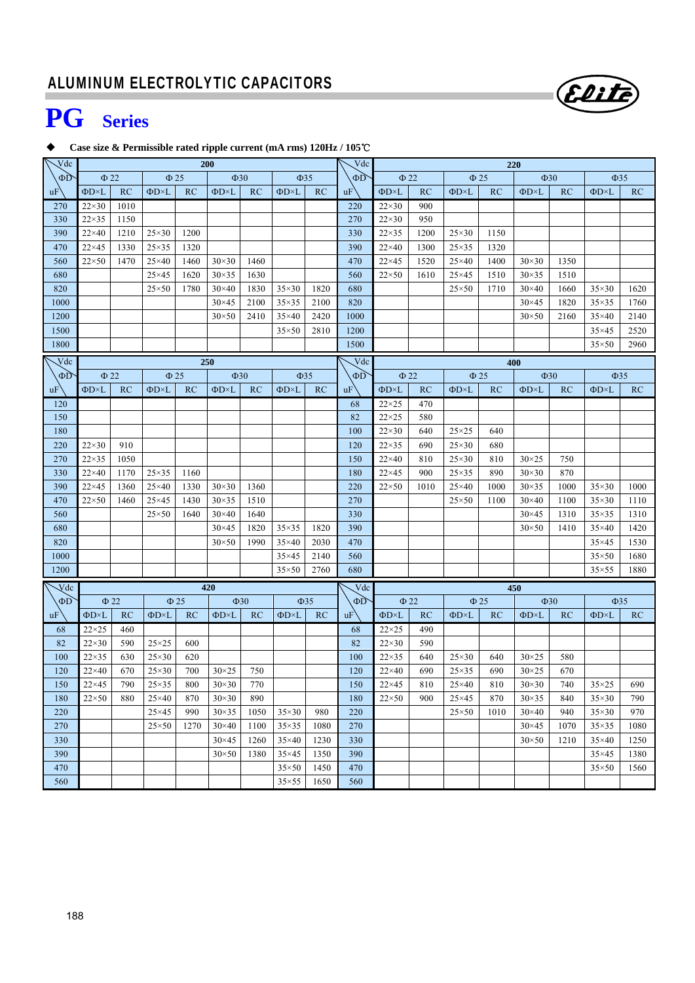

# **PG Series**

### **Case size & Permissible rated ripple current (mA rms) 120Hz / 105**℃

| $\sqrt{dc}$              |                     | <b>200</b> |                     |           |                     | Vdc       | 220                 |           |           |                     |                        |                        |           |                     |           |                     |      |
|--------------------------|---------------------|------------|---------------------|-----------|---------------------|-----------|---------------------|-----------|-----------|---------------------|------------------------|------------------------|-----------|---------------------|-----------|---------------------|------|
| ΦD                       | $\Phi$ 22           |            | $\Phi$ 25           |           | $\Phi$ 30           |           | $\Phi$ 35           |           | $\Phi D$  | $\Phi$ 22           |                        | $\Phi$ 25<br>$\Phi$ 30 |           | $\Phi$ 35           |           |                     |      |
| uF                       | $\Phi$ D $\times$ L | RC         | $\Phi$ D $\times$ L | RC        | $\Phi$ D $\times$ L | RC        | $\Phi$ D $\times$ L | RC        | uF        | $\Phi$ D $\times$ L | RC                     | $\Phi$ D $\times$ L    | RC        | $\Phi$ D $\times$ L | RC        | $\Phi$ D $\times$ L | RC   |
| 270                      | $22\times30$        | 1010       |                     |           |                     |           |                     |           | 220       | $22\times30$        | 900                    |                        |           |                     |           |                     |      |
| 330                      | $22\times35$        | 1150       |                     |           |                     |           |                     |           | 270       | $22\times30$        | 950                    |                        |           |                     |           |                     |      |
| 390                      | $22\times 40$       | 1210       | $25\times30$        | 1200      |                     |           |                     |           | 330       | $22\times35$        | 1200                   | $25\times30$           | 1150      |                     |           |                     |      |
| 470                      | $22\times 45$       | 1330       | $25\times35$        | 1320      |                     |           |                     |           | 390       | $22\times 40$       | 1300                   | $25\times35$           | 1320      |                     |           |                     |      |
| 560                      | $22\times50$        | 1470       | $25\times40$        | 1460      | $30\times30$        | 1460      |                     |           | 470       | $22\times 45$       | 1520                   | $25\times40$           | 1400      | $30\times30$        | 1350      |                     |      |
| 680                      |                     |            | $25\times 45$       | 1620      | $30\times35$        | 1630      |                     |           | 560       | $22\times50$        | 1610                   | $25\times 45$          | 1510      | $30\times35$        | 1510      |                     |      |
| 820                      |                     |            | $25 \times 50$      | 1780      | $30\times40$        | 1830      | $35\times30$        | 1820      | 680       |                     |                        | $25 \times 50$         | 1710      | $30\times40$        | 1660      | $35\times30$        | 1620 |
| 1000                     |                     |            |                     |           | $30 \times 45$      | 2100      | $35\times35$        | 2100      | 820       |                     |                        |                        |           | $30 \times 45$      | 1820      | $35\times35$        | 1760 |
| 1200                     |                     |            |                     |           | $30\times50$        | 2410      | $35\times40$        | 2420      | 1000      |                     |                        |                        |           | $30\times50$        | 2160      | $35\times40$        | 2140 |
| 1500                     |                     |            |                     |           |                     |           | $35\times50$        | 2810      | 1200      |                     |                        |                        |           |                     |           | $35\times45$        | 2520 |
| 1800                     |                     |            |                     |           |                     |           |                     |           | 1500      |                     |                        |                        |           |                     |           | $35\times50$        | 2960 |
| $\overline{\text{V}}$ dc |                     |            |                     |           | 250                 |           |                     |           | Vdc       |                     |                        |                        |           | 400                 |           |                     |      |
| $\Phi D$                 | $\Phi$ 22           |            | $\Phi$ 25           |           | $\Phi$ 30           |           | $\Phi$ 35           |           | $\Phi$ D  |                     | $\Phi$ 22<br>$\Phi$ 25 |                        |           |                     | $\Phi$ 30 | $\Phi$ 35           |      |
| uF                       | $\Phi$ D $\times$ L | RC         | $\Phi$ D $\times$ L | RC        | $\Phi$ D $\times$ L | RC        | $\Phi$ D $\times$ L | RC        | uF        | $\Phi$ D $\times$ L | RC                     | $\Phi$ D $\times$ L    | RC        | $\Phi$ D $\times$ L | RC        | $\Phi$ D $\times$ L | RC   |
| 120                      |                     |            |                     |           |                     |           |                     |           | 68        | $22\times25$        | 470                    |                        |           |                     |           |                     |      |
| 150                      |                     |            |                     |           |                     |           |                     |           | 82        | $22\times25$        | 580                    |                        |           |                     |           |                     |      |
| 180                      |                     |            |                     |           |                     |           |                     |           | 100       | $22\times30$        | 640                    | $25\times25$           | 640       |                     |           |                     |      |
| 220                      | $22\times30$        | 910        |                     |           |                     |           |                     |           | 120       | $22\times35$        | 690                    | $25\times30$           | 680       |                     |           |                     |      |
| 270                      | $22\times35$        | 1050       |                     |           |                     |           |                     |           | 150       | $22\times 40$       | 810                    | $25\times30$           | 810       | $30 \times 25$      | 750       |                     |      |
| 330                      | $22\times 40$       | 1170       | $25\times35$        | 1160      |                     |           |                     |           | 180       | $22\times 45$       | 900                    | $25\times35$           | 890       | $30\times30$        | 870       |                     |      |
| 390                      | $22\times 45$       | 1360       | $25\times40$        | 1330      | $30\times30$        | 1360      |                     |           | 220       | $22\times50$        | 1010                   | $25\times40$           | 1000      | $30\times35$        | 1000      | $35\times30$        | 1000 |
| 470                      | $22\times50$        | 1460       | $25\times 45$       | 1430      | $30\times35$        | 1510      |                     |           | 270       |                     |                        | $25 \times 50$         | 1100      | $30\times40$        | 1100      | $35\times30$        | 1110 |
| 560                      |                     |            | $25 \times 50$      | 1640      | $30\times40$        | 1640      |                     |           | 330       |                     |                        |                        |           | $30\times45$        | 1310      | $35\times35$        | 1310 |
| 680                      |                     |            |                     |           | $30\times45$        | 1820      | $35\times35$        | 1820      | 390       |                     |                        |                        |           | $30\times50$        | 1410      | $35\times40$        | 1420 |
| 820                      |                     |            |                     |           | $30\times50$        | 1990      | $35\times40$        | 2030      | 470       |                     |                        |                        |           |                     |           | $35\times45$        | 1530 |
| 1000                     |                     |            |                     |           |                     |           | $35\times45$        | 2140      | 560       |                     |                        |                        |           |                     |           | $35\times50$        | 1680 |
| 1200                     |                     |            |                     |           |                     |           | $35\times50$        | 2760      | 680       |                     |                        |                        |           |                     |           | $35\times55$        | 1880 |
| $\sqrt{\text{d}}c$       |                     |            |                     |           | 420                 |           |                     |           | Vdc       |                     |                        |                        |           | 450                 |           |                     |      |
| $\Phi$ D                 |                     | $\Phi$ 22  |                     | $\Phi$ 25 |                     | $\Phi$ 30 |                     | $\Phi$ 35 | $\Phi D$  |                     | $\Phi$ 22              |                        | $\Phi$ 25 |                     | $\Phi$ 30 | $\Phi$ 35           |      |
| uF                       | $\Phi$ D $\times$ L | RC         | $\Phi$ D×L          | RC        | $\Phi$ D $\times$ L | RC        | ΦD×L                | RC        | <b>uF</b> | $\Phi$ D $\times$ L | RC                     | $\Phi$ D $\times$ L    | RC        | $\Phi$ D $\times$ L | RC        | $\Phi$ D $\times$ L | RC   |
| 68                       | $22 \times 25$      | 460        |                     |           |                     |           |                     |           | 68        | $22\times25$        | 490                    |                        |           |                     |           |                     |      |
| 82                       | $22\times30$        | 590        | $25\times25$        | 600       |                     |           |                     |           | 82        | $22\times30$        | 590                    |                        |           |                     |           |                     |      |
| 100                      | $22\times35$        | 630        | $25\times30$        | 620       |                     |           |                     |           | 100       | $22\times35$        | 640                    | $25\times30$           | 640       | $30 \times 25$      | 580       |                     |      |
| 120                      | $22\times 40$       | 670        | $25\times30$        | 700       | $30\times25$        | 750       |                     |           | 120       | $22\times 40$       | 690                    | $25\times35$           | 690       | $30 \times 25$      | 670       |                     |      |
| 150                      | $22\times 45$       | 790        | $25\times35$        | 800       | $30\times30$        | 770       |                     |           | 150       | $22\times 45$       | 810                    | $25\times40$           | 810       | $30\times30$        | 740       | $35\times25$        | 690  |
| 180                      | $22\times50$        | 880        | $25\times40$        | 870       | $30\times30$        | 890       |                     |           | 180       | $22\times50$        | 900                    | $25\times 45$          | 870       | $30\times35$        | 840       | $35\times30$        | 790  |
| 220                      |                     |            | $25\times 45$       | 990       | $30\times35$        | 1050      | $35\times30$        | 980       | 220       |                     |                        | $25 \times 50$         | 1010      | $30\times40$        | 940       | $35\times30$        | 970  |
| 270                      |                     |            | $25\times50$        | 1270      | $30\times40$        | 1100      | $35\times35$        | 1080      | 270       |                     |                        |                        |           | $30\times 45$       | 1070      | $35\times35$        | 1080 |
| 330                      |                     |            |                     |           | $30\times45$        | 1260      | $35\times40$        | 1230      | 330       |                     |                        |                        |           | $30\times50$        | 1210      | $35\times40$        | 1250 |
| 390                      |                     |            |                     |           | $30\times50$        | 1380      | $35\times45$        | 1350      | 390       |                     |                        |                        |           |                     |           | $35\times45$        | 1380 |
| 470                      |                     |            |                     |           |                     |           | $35\times50$        | 1450      | 470       |                     |                        |                        |           |                     |           | $35\times50$        | 1560 |
| 560                      |                     |            |                     |           |                     |           | $35\times55$        | 1650      | 560       |                     |                        |                        |           |                     |           |                     |      |